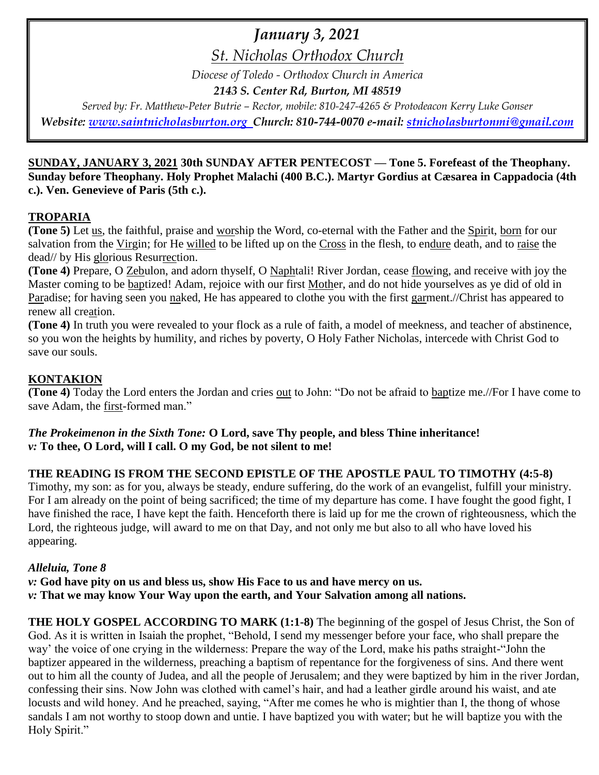# *January 3, 2021*

*St. Nicholas Orthodox Church*

*Diocese of Toledo - Orthodox Church in America*

*2143 S. Center Rd, Burton, MI 48519*

*Served by: Fr. Matthew-Peter Butrie – Rector, mobile: 810-247-4265 & Protodeacon Kerry Luke Gonser Website: [www.saintnicholasburton.org](http://www.saintnicholasburton.org/) Church: 810-744-0070 e-mail: [stnicholasburtonmi@gmail.com](mailto:stnicholasburtonmi@gmail.com)*

## **SUNDAY, JANUARY 3, 2021 30th SUNDAY AFTER PENTECOST — Tone 5. Forefeast of the Theophany. Sunday before Theophany. Holy Prophet Malachi (400 B.C.). Martyr Gordius at Cæsarea in Cappadocia (4th c.). Ven. Genevieve of Paris (5th c.).**

# **TROPARIA**

**(Tone 5)** Let us, the faithful, praise and worship the Word, co-eternal with the Father and the Spirit, born for our salvation from the Virgin; for He willed to be lifted up on the Cross in the flesh, to endure death, and to raise the dead// by His glorious Resurrection.

**(Tone 4)** Prepare, O Zebulon, and adorn thyself, O Naphtali! River Jordan, cease flowing, and receive with joy the Master coming to be baptized! Adam, rejoice with our first Mother, and do not hide yourselves as ye did of old in Paradise; for having seen you naked, He has appeared to clothe you with the first garment.//Christ has appeared to renew all creation.

**(Tone 4)** In truth you were revealed to your flock as a rule of faith, a model of meekness, and teacher of abstinence, so you won the heights by humility, and riches by poverty, O Holy Father Nicholas, intercede with Christ God to save our souls.

# **KONTAKION**

**(Tone 4)** Today the Lord enters the Jordan and cries out to John: "Do not be afraid to baptize me.//For I have come to save Adam, the first-formed man."

*The Prokeimenon in the Sixth Tone:* **O Lord, save Thy people, and bless Thine inheritance!** *v:* **To thee, O Lord, will I call. O my God, be not silent to me!** 

# **THE READING IS FROM THE SECOND EPISTLE OF THE APOSTLE PAUL TO TIMOTHY (4:5-8)**

Timothy, my son: as for you, always be steady, endure suffering, do the work of an evangelist, fulfill your ministry. For I am already on the point of being sacrificed; the time of my departure has come. I have fought the good fight, I have finished the race, I have kept the faith. Henceforth there is laid up for me the crown of righteousness, which the Lord, the righteous judge, will award to me on that Day, and not only me but also to all who have loved his appearing.

## *Alleluia, Tone 8*

*v:* **God have pity on us and bless us, show His Face to us and have mercy on us.**

*v:* **That we may know Your Way upon the earth, and Your Salvation among all nations.**

**THE HOLY GOSPEL ACCORDING TO MARK (1:1-8)** The beginning of the gospel of Jesus Christ, the Son of God. As it is written in Isaiah the prophet, "Behold, I send my messenger before your face, who shall prepare the way' the voice of one crying in the wilderness: Prepare the way of the Lord, make his paths straight-"John the baptizer appeared in the wilderness, preaching a baptism of repentance for the forgiveness of sins. And there went out to him all the county of Judea, and all the people of Jerusalem; and they were baptized by him in the river Jordan, confessing their sins. Now John was clothed with camel's hair, and had a leather girdle around his waist, and ate locusts and wild honey. And he preached, saying, "After me comes he who is mightier than I, the thong of whose sandals I am not worthy to stoop down and untie. I have baptized you with water; but he will baptize you with the Holy Spirit."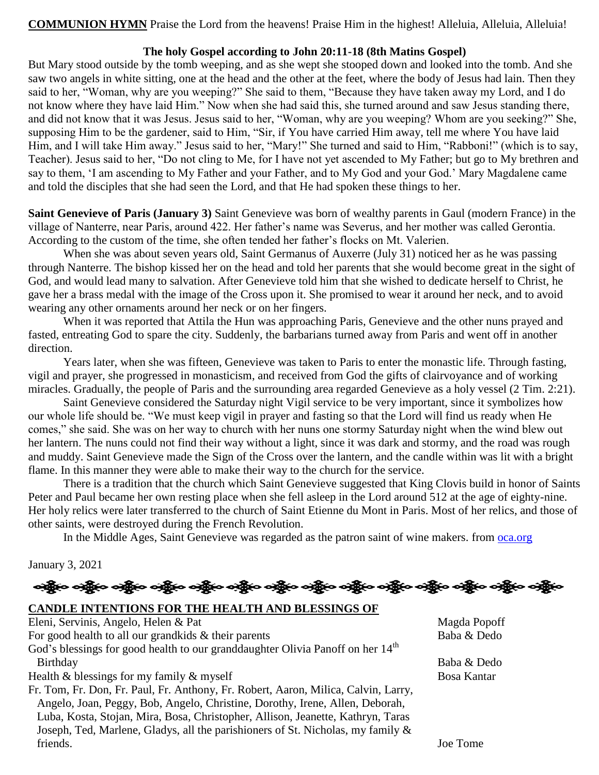**COMMUNION HYMN** Praise the Lord from the heavens! Praise Him in the highest! Alleluia, Alleluia, Alleluia!

#### **The holy Gospel according to John 20:11-18 (8th Matins Gospel)**

But Mary stood outside by the tomb weeping, and as she wept she stooped down and looked into the tomb. And she saw two angels in white sitting, one at the head and the other at the feet, where the body of Jesus had lain. Then they said to her, "Woman, why are you weeping?" She said to them, "Because they have taken away my Lord, and I do not know where they have laid Him." Now when she had said this, she turned around and saw Jesus standing there, and did not know that it was Jesus. Jesus said to her, "Woman, why are you weeping? Whom are you seeking?" She, supposing Him to be the gardener, said to Him, "Sir, if You have carried Him away, tell me where You have laid Him, and I will take Him away." Jesus said to her, "Mary!" She turned and said to Him, "Rabboni!" (which is to say, Teacher). Jesus said to her, "Do not cling to Me, for I have not yet ascended to My Father; but go to My brethren and say to them, 'I am ascending to My Father and your Father, and to My God and your God.' Mary Magdalene came and told the disciples that she had seen the Lord, and that He had spoken these things to her.

**Saint Genevieve of Paris (January 3)** Saint Genevieve was born of wealthy parents in Gaul (modern France) in the village of Nanterre, near Paris, around 422. Her father's name was Severus, and her mother was called Gerontia. According to the custom of the time, she often tended her father's flocks on Mt. Valerien.

When she was about seven years old, Saint Germanus of Auxerre (July 31) noticed her as he was passing through Nanterre. The bishop kissed her on the head and told her parents that she would become great in the sight of God, and would lead many to salvation. After Genevieve told him that she wished to dedicate herself to Christ, he gave her a brass medal with the image of the Cross upon it. She promised to wear it around her neck, and to avoid wearing any other ornaments around her neck or on her fingers.

When it was reported that Attila the Hun was approaching Paris, Genevieve and the other nuns prayed and fasted, entreating God to spare the city. Suddenly, the barbarians turned away from Paris and went off in another direction.

Years later, when she was fifteen, Genevieve was taken to Paris to enter the monastic life. Through fasting, vigil and prayer, she progressed in monasticism, and received from God the gifts of clairvoyance and of working miracles. Gradually, the people of Paris and the surrounding area regarded Genevieve as a holy vessel (2 Tim. 2:21).

Saint Genevieve considered the Saturday night Vigil service to be very important, since it symbolizes how our whole life should be. "We must keep vigil in prayer and fasting so that the Lord will find us ready when He comes," she said. She was on her way to church with her nuns one stormy Saturday night when the wind blew out her lantern. The nuns could not find their way without a light, since it was dark and stormy, and the road was rough and muddy. Saint Genevieve made the Sign of the Cross over the lantern, and the candle within was lit with a bright flame. In this manner they were able to make their way to the church for the service.

There is a tradition that the church which Saint Genevieve suggested that King Clovis build in honor of Saints Peter and Paul became her own resting place when she fell asleep in the Lord around 512 at the age of eighty-nine. Her holy relics were later transferred to the church of Saint Etienne du Mont in Paris. Most of her relics, and those of other saints, were destroyed during the French Revolution.

In the Middle Ages, Saint Genevieve was regarded as the patron saint of wine makers. from [oca.org](https://www.oca.org/saints/lives/2021/01/03/100015-venerable-genevieve-of-paris)

#### January 3, 2021

# ခရွို့က ခရွိက သန္တို့က ခရွိက သို့က သန္တို့က ခရွိက သန္တို့က သန္တို့က သန္တို့က သန္တို့က သန္တို့က သန္တို့က သန္တို

#### **CANDLE INTENTIONS FOR THE HEALTH AND BLESSINGS OF**

| Eleni, Servinis, Angelo, Helen & Pat                                                       | Magda Popoff |
|--------------------------------------------------------------------------------------------|--------------|
| For good health to all our grandkids $\&$ their parents                                    | Baba & Dedo  |
| God's blessings for good health to our granddaughter Olivia Panoff on her 14 <sup>th</sup> |              |
| Birthday                                                                                   | Baba & Dedo  |
| Health $\&$ blessings for my family $\&$ myself                                            | Bosa Kantar  |
| Fr. Tom, Fr. Don, Fr. Paul, Fr. Anthony, Fr. Robert, Aaron, Milica, Calvin, Larry,         |              |
| Angelo, Joan, Peggy, Bob, Angelo, Christine, Dorothy, Irene, Allen, Deborah,               |              |
| Luba, Kosta, Stojan, Mira, Bosa, Christopher, Allison, Jeanette, Kathryn, Taras            |              |
| Joseph, Ted, Marlene, Gladys, all the parishioners of St. Nicholas, my family &            |              |
| friends.                                                                                   | Joe Tome     |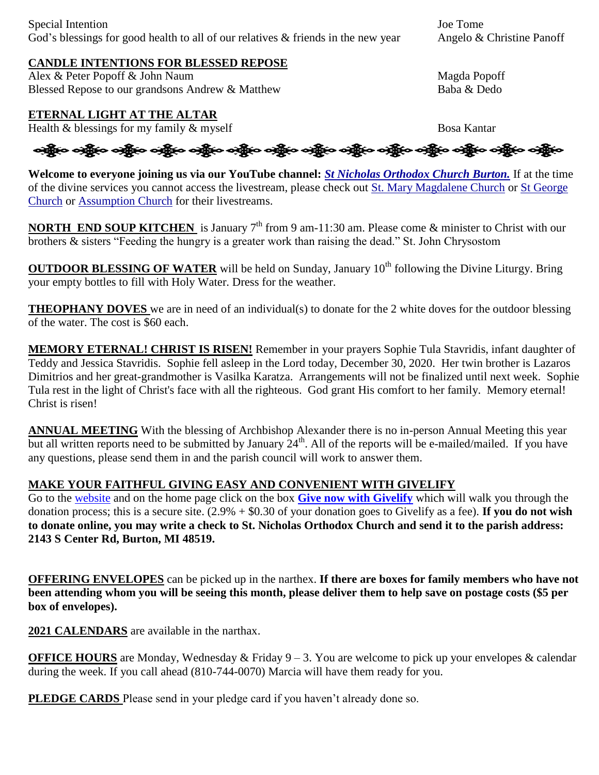#### **CANDLE INTENTIONS FOR BLESSED REPOSE**

Alex & Peter Popoff & John Naum Magda Popoff Blessed Repose to our grandsons Andrew & Matthew Baba & Dedo

### **ETERNAL LIGHT AT THE ALTAR**

Health & blessings for my family & myself Bosa Kantar

ခရွို့က ခရွိက ခရွိက သို့မာ သည်။ သန္တိုက သန္တိုက သန္တိုက သန္တိုက သန္တိုက သန္တိုက သန္တိုက သန္တိုက သန္တိုက

**Welcome to everyone joining us via our YouTube channel:** *[St Nicholas Orthodox Church Burton.](https://www.youtube.com/channel/UC59tV-Re443z-GCoETAUvfA)* If at the time of the divine services you cannot access the livestream, please check out [St. Mary Magdalene Church](https://www.youtube.com/channel/UClHAqZrWkXdYELujbbIslHg) or [St George](https://www.youtube.com/channel/UCpLWfxMIJK4uQOV41ekE6Wg/videos?view=2&flow=grid)  [Church](https://www.youtube.com/channel/UCpLWfxMIJK4uQOV41ekE6Wg/videos?view=2&flow=grid) or [Assumption Church](https://www.facebook.com/AssumptionGrandBlanc/) for their livestreams.

**NORTH END SOUP KITCHEN** is January 7<sup>th</sup> from 9 am-11:30 am. Please come & minister to Christ with our brothers & sisters "Feeding the hungry is a greater work than raising the dead." St. John Chrysostom

**OUTDOOR BLESSING OF WATER** will be held on Sunday, January 10<sup>th</sup> following the Divine Liturgy. Bring your empty bottles to fill with Holy Water. Dress for the weather.

**THEOPHANY DOVES** we are in need of an individual(s) to donate for the 2 white doves for the outdoor blessing of the water. The cost is \$60 each.

**MEMORY ETERNAL! CHRIST IS RISEN!** Remember in your prayers Sophie Tula Stavridis, infant daughter of Teddy and Jessica Stavridis. Sophie fell asleep in the Lord today, December 30, 2020. Her twin brother is Lazaros Dimitrios and her great-grandmother is Vasilka Karatza. Arrangements will not be finalized until next week. Sophie Tula rest in the light of Christ's face with all the righteous. God grant His comfort to her family. Memory eternal! Christ is risen!

**ANNUAL MEETING** With the blessing of Archbishop Alexander there is no in-person Annual Meeting this year but all written reports need to be submitted by January  $24<sup>th</sup>$ . All of the reports will be e-mailed/mailed. If you have any questions, please send them in and the parish council will work to answer them.

### **MAKE YOUR FAITHFUL GIVING EASY AND CONVENIENT WITH GIVELIFY**

Go to the [website](http://www.saintnicholasburton.org/) and on the home page click on the box **[Give now with Givelify](https://www.givelify.com/givenow/1.0/Mzc5MTg=/selection)** which will walk you through the donation process; this is a secure site. (2.9% + \$0.30 of your donation goes to Givelify as a fee). **If you do not wish to donate online, you may write a check to St. Nicholas Orthodox Church and send it to the parish address: 2143 S Center Rd, Burton, MI 48519.**

**OFFERING ENVELOPES** can be picked up in the narthex. **If there are boxes for family members who have not been attending whom you will be seeing this month, please deliver them to help save on postage costs (\$5 per box of envelopes).**

**2021 CALENDARS** are available in the narthax.

**OFFICE HOURS** are Monday, Wednesday & Friday 9 – 3. You are welcome to pick up your envelopes & calendar during the week. If you call ahead (810-744-0070) Marcia will have them ready for you.

**PLEDGE CARDS** Please send in your pledge card if you haven't already done so.